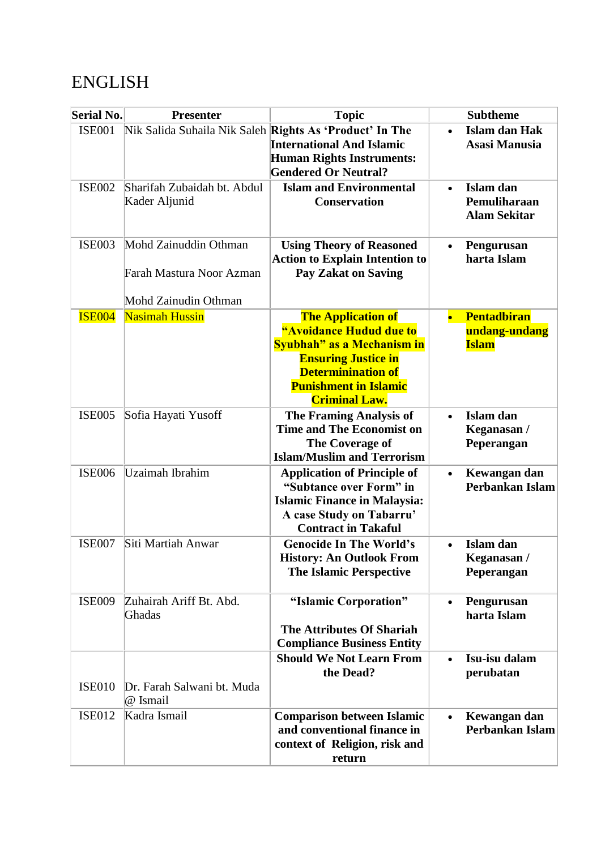## ENGLISH

| <b>Serial No.</b> | <b>Presenter</b>                                                          | <b>Topic</b>                                                                                                                                                                                          |           | <b>Subtheme</b>                                     |
|-------------------|---------------------------------------------------------------------------|-------------------------------------------------------------------------------------------------------------------------------------------------------------------------------------------------------|-----------|-----------------------------------------------------|
| <b>ISE001</b>     | Nik Salida Suhaila Nik Saleh Rights As 'Product' In The                   | <b>International And Islamic</b><br><b>Human Rights Instruments:</b><br><b>Gendered Or Neutral?</b>                                                                                                   | $\bullet$ | Islam dan Hak<br><b>Asasi Manusia</b>               |
| <b>ISE002</b>     | Sharifah Zubaidah bt. Abdul<br>Kader Aljunid                              | <b>Islam and Environmental</b><br><b>Conservation</b>                                                                                                                                                 | $\bullet$ | Islam dan<br>Pemuliharaan<br><b>Alam Sekitar</b>    |
| <b>ISE003</b>     | Mohd Zainuddin Othman<br>Farah Mastura Noor Azman<br>Mohd Zainudin Othman | <b>Using Theory of Reasoned</b><br><b>Action to Explain Intention to</b><br><b>Pay Zakat on Saving</b>                                                                                                | $\bullet$ | Pengurusan<br>harta Islam                           |
| <b>ISE004</b>     | <b>Nasimah Hussin</b>                                                     | <b>The Application of</b><br>"Avoidance Hudud due to<br>Syubhah" as a Mechanism in<br><b>Ensuring Justice in</b><br><b>Determinination of</b><br><b>Punishment in Islamic</b><br><b>Criminal Law.</b> |           | <b>Pentadbiran</b><br>undang-undang<br><b>Islam</b> |
| <b>ISE005</b>     | Sofia Hayati Yusoff                                                       | <b>The Framing Analysis of</b><br><b>Time and The Economist on</b><br>The Coverage of<br><b>Islam/Muslim and Terrorism</b>                                                                            | $\bullet$ | Islam dan<br>Keganasan /<br>Peperangan              |
| <b>ISE006</b>     | Uzaimah Ibrahim                                                           | <b>Application of Principle of</b><br>"Subtance over Form" in<br><b>Islamic Finance in Malaysia:</b><br>A case Study on Tabarru'<br><b>Contract in Takaful</b>                                        | $\bullet$ | Kewangan dan<br>Perbankan Islam                     |
| <b>ISE007</b>     | Siti Martiah Anwar                                                        | <b>Genocide In The World's</b><br><b>History: An Outlook From</b><br><b>The Islamic Perspective</b>                                                                                                   |           | Islam dan<br>Keganasan /<br>Peperangan              |
| <b>ISE009</b>     | Zuhairah Ariff Bt. Abd.<br>Ghadas                                         | "Islamic Corporation"<br><b>The Attributes Of Shariah</b><br><b>Compliance Business Entity</b>                                                                                                        | $\bullet$ | Pengurusan<br>harta Islam                           |
| <b>ISE010</b>     | Dr. Farah Salwani bt. Muda<br>@ Ismail                                    | <b>Should We Not Learn From</b><br>the Dead?                                                                                                                                                          | $\bullet$ | Isu-isu dalam<br>perubatan                          |
| <b>ISE012</b>     | Kadra Ismail                                                              | <b>Comparison between Islamic</b><br>and conventional finance in<br>context of Religion, risk and<br>return                                                                                           | $\bullet$ | Kewangan dan<br>Perbankan Islam                     |